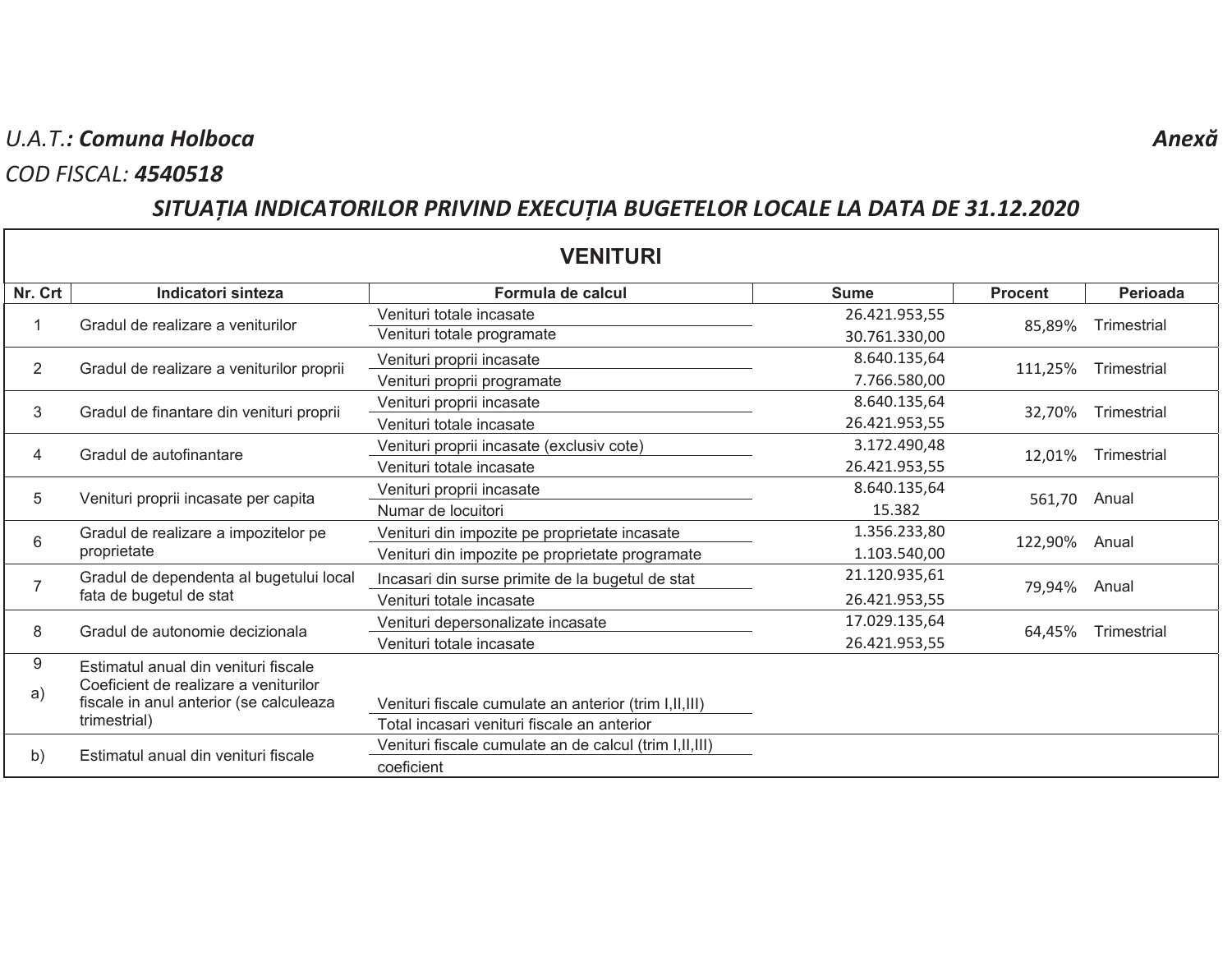## U.A.T.: Comuna Holboca

#### **COD FISCAL: 4540518**

# SITUAȚIA INDICATORILOR PRIVIND EXECUȚIA BUGETELOR LOCALE LA DATA DE 31.12.2020

| <b>VENITURI</b> |                                                                                                                          |                                                          |               |                |             |  |  |  |
|-----------------|--------------------------------------------------------------------------------------------------------------------------|----------------------------------------------------------|---------------|----------------|-------------|--|--|--|
| Nr. Crt         | Indicatori sinteza                                                                                                       | Formula de calcul                                        | <b>Sume</b>   | <b>Procent</b> | Perioada    |  |  |  |
|                 | Gradul de realizare a veniturilor                                                                                        | Venituri totale incasate                                 | 26.421.953,55 | 85,89%         | Trimestrial |  |  |  |
|                 |                                                                                                                          | Venituri totale programate                               | 30.761.330,00 |                |             |  |  |  |
| $\overline{2}$  | Gradul de realizare a veniturilor proprii                                                                                | Venituri proprii incasate                                | 8.640.135,64  | 111,25%        | Trimestrial |  |  |  |
|                 |                                                                                                                          | Venituri proprii programate                              | 7.766.580,00  |                |             |  |  |  |
| 3               | Gradul de finantare din venituri proprii                                                                                 | Venituri proprii incasate                                | 8.640.135,64  | 32,70%         | Trimestrial |  |  |  |
|                 |                                                                                                                          | Venituri totale incasate                                 | 26.421.953,55 |                |             |  |  |  |
| 4               | Gradul de autofinantare                                                                                                  | Venituri proprii incasate (exclusiv cote)                | 3.172.490,48  | 12,01%         | Trimestrial |  |  |  |
|                 |                                                                                                                          | Venituri totale incasate                                 | 26.421.953,55 |                |             |  |  |  |
| 5               | Venituri proprii incasate per capita                                                                                     | Venituri proprii incasate                                | 8.640.135,64  | 561,70         | Anual       |  |  |  |
|                 |                                                                                                                          | Numar de locuitori                                       | 15.382        |                |             |  |  |  |
| 6               | Gradul de realizare a impozitelor pe<br>proprietate                                                                      | Venituri din impozite pe proprietate incasate            | 1.356.233,80  | 122,90%        | Anual       |  |  |  |
|                 |                                                                                                                          | Venituri din impozite pe proprietate programate          | 1.103.540,00  |                |             |  |  |  |
|                 | Gradul de dependenta al bugetului local<br>fata de bugetul de stat                                                       | Incasari din surse primite de la bugetul de stat         | 21.120.935,61 | 79,94%         | Anual       |  |  |  |
|                 |                                                                                                                          | Venituri totale incasate                                 | 26.421.953,55 |                |             |  |  |  |
| 8               | Gradul de autonomie decizionala                                                                                          | Venituri depersonalizate incasate                        | 17.029.135,64 | 64,45%         | Trimestrial |  |  |  |
|                 |                                                                                                                          | Venituri totale incasate                                 | 26.421.953,55 |                |             |  |  |  |
| 9               | Estimatul anual din venituri fiscale<br>Coeficient de realizare a veniturilor<br>fiscale in anul anterior (se calculeaza |                                                          |               |                |             |  |  |  |
| a)              |                                                                                                                          |                                                          |               |                |             |  |  |  |
|                 |                                                                                                                          | Venituri fiscale cumulate an anterior (trim I,II,III)    |               |                |             |  |  |  |
|                 | trimestrial)                                                                                                             | Total incasari venituri fiscale an anterior              |               |                |             |  |  |  |
| b)              | Estimatul anual din venituri fiscale                                                                                     | Venituri fiscale cumulate an de calcul (trim I, II, III) |               |                |             |  |  |  |
|                 |                                                                                                                          | coeficient                                               |               |                |             |  |  |  |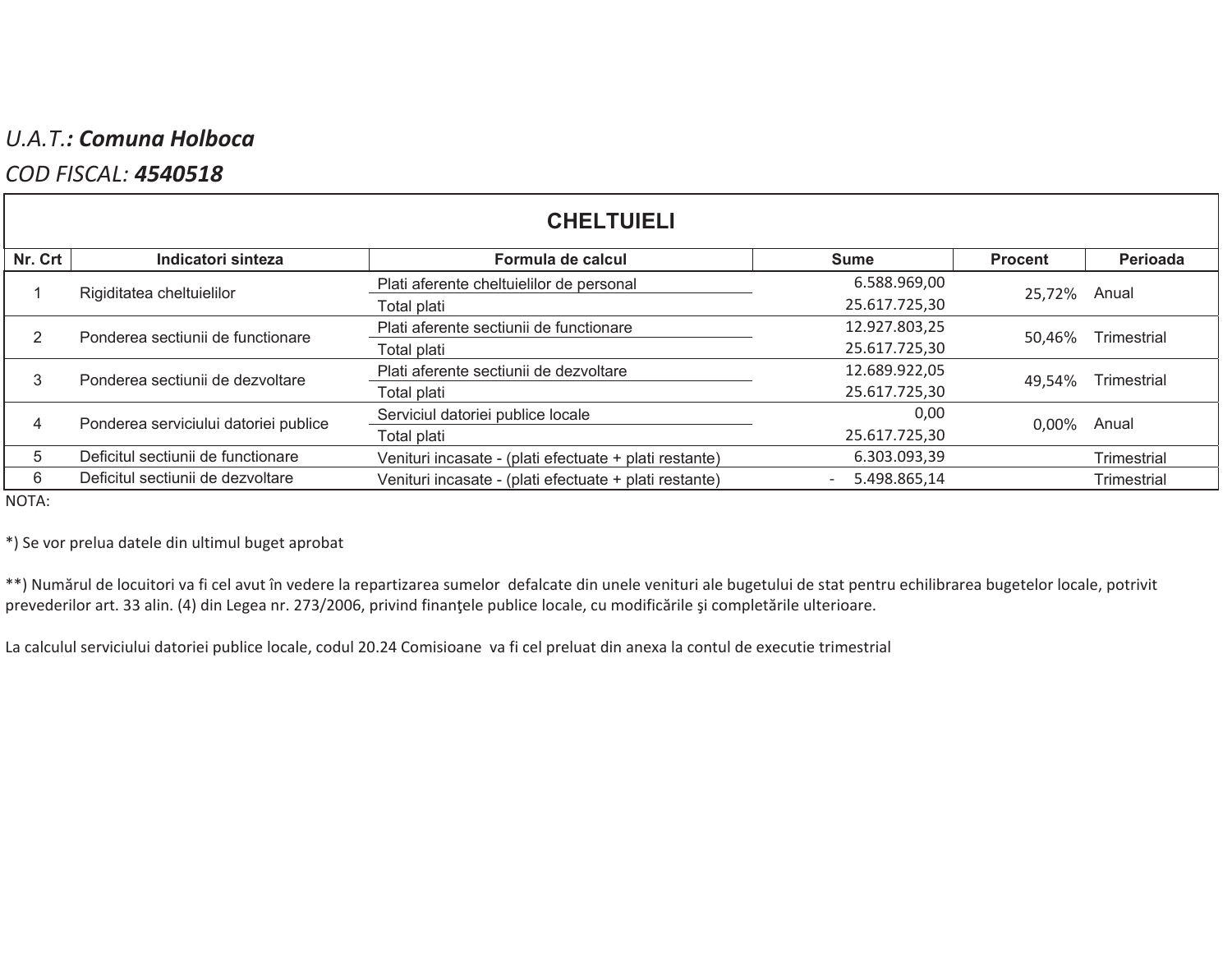## U.A.T.: Comuna Holboca

### **COD FISCAL: 4540518**

| <b>CHELTUIELI</b> |                                       |                                                        |               |                |                    |  |  |  |
|-------------------|---------------------------------------|--------------------------------------------------------|---------------|----------------|--------------------|--|--|--|
| Nr. Crt           | Indicatori sinteza                    | Formula de calcul                                      | <b>Sume</b>   | <b>Procent</b> | Perioada           |  |  |  |
|                   | Rigiditatea cheltuielilor             | Plati aferente cheltuielilor de personal               | 6.588.969,00  | 25.72%         | Anual              |  |  |  |
|                   |                                       | Total plati                                            | 25.617.725,30 |                |                    |  |  |  |
|                   | Ponderea sectiunii de functionare     | Plati aferente sectiunii de functionare                | 12.927.803,25 | 50,46%         | Trimestrial        |  |  |  |
|                   |                                       | Total plati                                            | 25.617.725,30 |                |                    |  |  |  |
|                   | Ponderea sectiunii de dezvoltare      | Plati aferente sectiunii de dezvoltare                 | 12.689.922,05 | 49,54%         | Trimestrial        |  |  |  |
|                   |                                       | Total plati                                            | 25.617.725,30 |                |                    |  |  |  |
|                   | Ponderea serviciului datoriei publice | Serviciul datoriei publice locale                      | 0,00          | $0.00\%$       | Anual              |  |  |  |
|                   |                                       | Total plati                                            | 25.617.725,30 |                |                    |  |  |  |
| 5                 | Deficitul sectiunii de functionare    | Venituri incasate - (plati efectuate + plati restante) | 6.303.093,39  |                | Trimestrial        |  |  |  |
| 6                 | Deficitul sectiunii de dezvoltare     | Venituri incasate - (plati efectuate + plati restante) | 5.498.865,14  |                | <b>Trimestrial</b> |  |  |  |

NOTA:

\*) Se vor prelua datele din ultimul buget aprobat

\*\*) Numărul de locuitori va fi cel avut în vedere la repartizarea sumelor defalcate din unele venituri ale bugetului de stat pentru echilibrarea bugetelor locale, potrivit prevederilor art. 33 alin. (4) din Legea nr. 273/2006, privind finanțele publice locale, cu modificările și completările ulterioare.

La calculul serviciului datoriei publice locale, codul 20.24 Comisioane va fi cel preluat din anexa la contul de executie trimestrial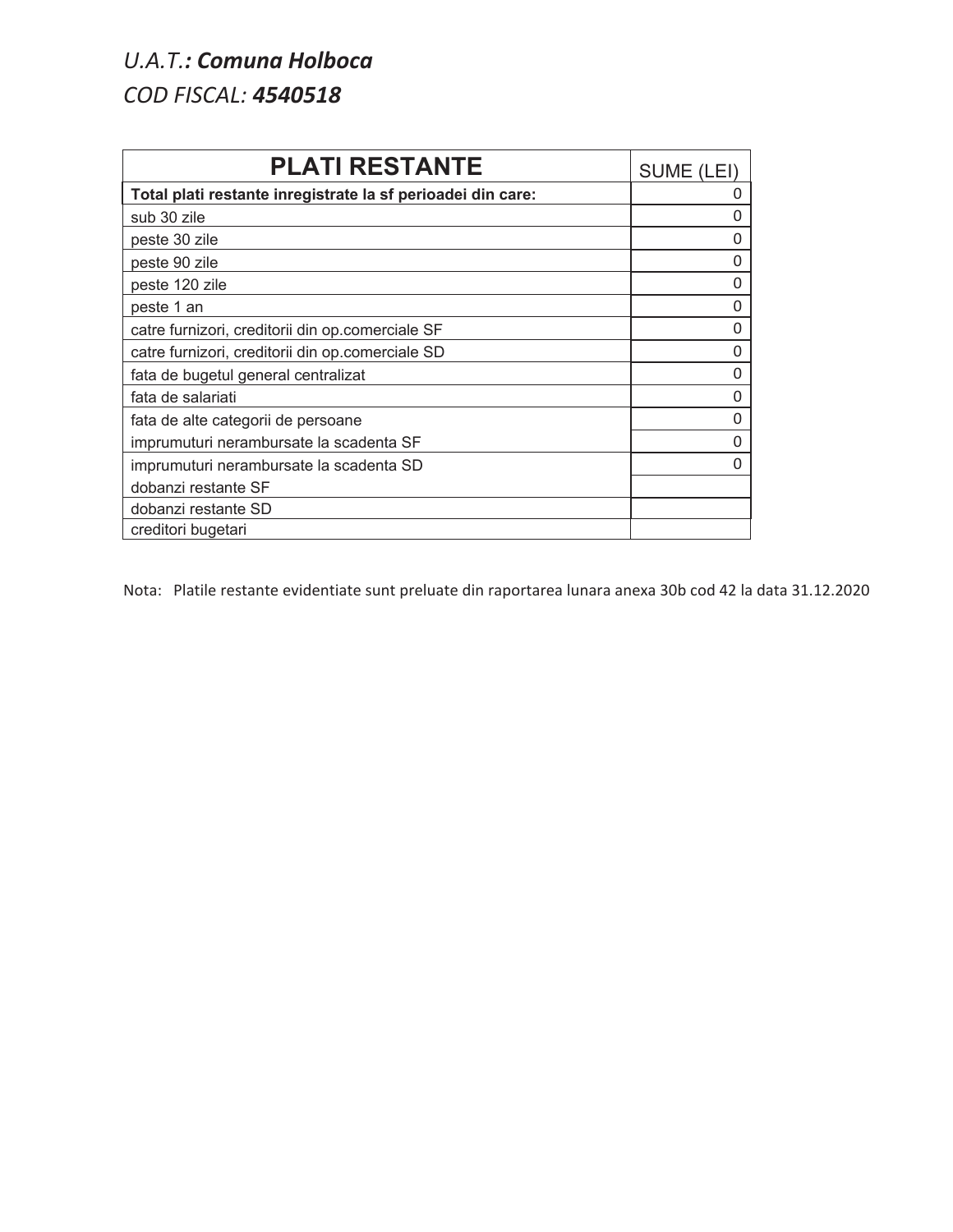# U.A.T.: Comuna Holboca **COD FISCAL: 4540518**

| <b>PLATI RESTANTE</b>                                       | SUME (L  |
|-------------------------------------------------------------|----------|
| Total plati restante inregistrate la sf perioadei din care: | O        |
| sub 30 zile                                                 | 0        |
| peste 30 zile                                               | 0        |
| peste 90 zile                                               | 0        |
| peste 120 zile                                              | O        |
| peste 1 an                                                  | 0        |
| catre furnizori, creditorii din op.comerciale SF            | $\Omega$ |
| catre furnizori, creditorii din op.comerciale SD            | 0        |
| fata de bugetul general centralizat                         | 0        |
| fata de salariati                                           | 0        |
| fata de alte categorii de persoane                          | 0        |
| imprumuturi nerambursate la scadenta SF                     | ი        |
| imprumuturi nerambursate la scadenta SD                     | U        |
| dobanzi restante SF                                         |          |
| dobanzi restante SD                                         |          |
| creditori bugetari                                          |          |

Nota: Platile restante evidentiate sunt preluate din raportarea lunara anexa 30b cod 42 la data 31.12.2020